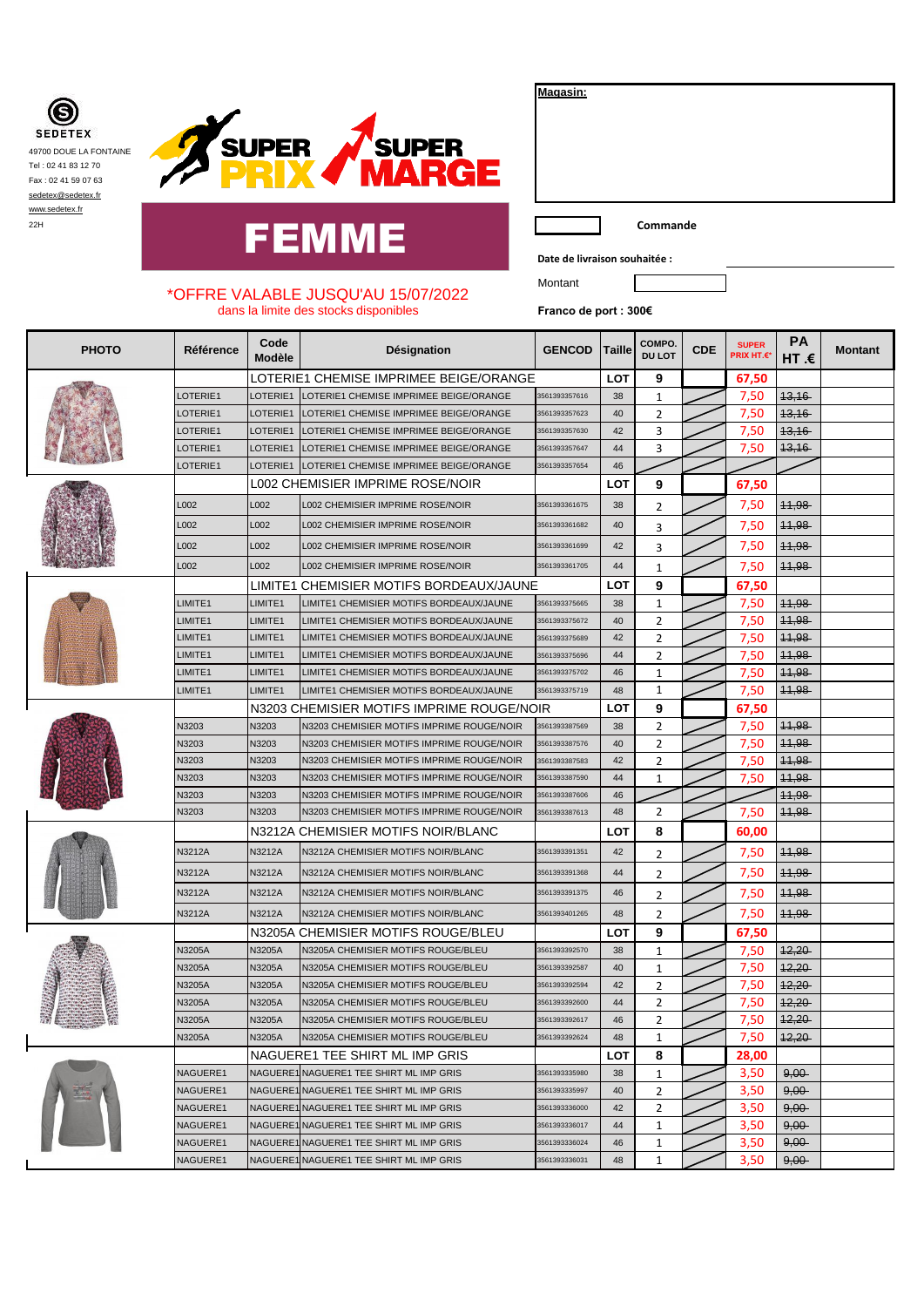**SEDETEX** 49700 DOUE LA FONTAINE Tel : 02 41 83 12 70 Fax : 02 41 59 07 63 [sedetex@sedetex.fr](mailto:sedetex@sedetex.fr) [www.sedetex.fr](http://www.sedetex.fr/)



## eservice and **FEMME**

**Magasin:**

**Date de livraison souhaitée :**

Montant

## \*OFFRE VALABLE JUSQU'AU 15/07/2022 dans la limite des stocks disponibles

**Franco de port : 300€**

| <b>PHOTO</b> | Référence       | Code<br>Modèle | Désignation                               | <b>GENCOD</b> | Taille     | COMPO.<br><b>DU LOT</b> | <b>CDE</b> | <b>SUPER</b><br><b>PRIX HT.€</b> | РA<br>HT .€      | <b>Montant</b> |
|--------------|-----------------|----------------|-------------------------------------------|---------------|------------|-------------------------|------------|----------------------------------|------------------|----------------|
|              |                 |                | LOTERIE1 CHEMISE IMPRIMEE BEIGE/ORANGE    |               | <b>LOT</b> | 9                       |            | 67,50                            |                  |                |
|              | LOTERIE1        | LOTERIE1       | LOTERIE1 CHEMISE IMPRIMEE BEIGE/ORANGE    | 3561393357616 | 38         | $1\,$                   |            | 7,50                             | 43,16            |                |
|              | LOTERIE1        | LOTERIE1       | LOTERIE1 CHEMISE IMPRIMEE BEIGE/ORANGE    | 3561393357623 | 40         | $\overline{2}$          |            | 7,50                             | 13,16            |                |
|              | LOTERIE1        | LOTERIE1       | LOTERIE1 CHEMISE IMPRIMEE BEIGE/ORANGE    | 3561393357630 | 42         | 3                       |            | 7,50                             | 13,16            |                |
|              | <b>LOTERIE1</b> | LOTERIE1       | LOTERIE1 CHEMISE IMPRIMEE BEIGE/ORANGE    | 3561393357647 | 44         | 3                       |            | 7,50                             | 13,16            |                |
|              | <b>LOTERIE1</b> | LOTERIE1       | LOTERIE1 CHEMISE IMPRIMEE BEIGE/ORANGE    | 3561393357654 | 46         |                         |            |                                  |                  |                |
|              |                 |                | L002 CHEMISIER IMPRIME ROSE/NOIR          |               | LOT        | 9                       |            | 67,50                            |                  |                |
|              | L002            | L002           | L002 CHEMISIER IMPRIME ROSE/NOIR          | 3561393361675 | 38         | 2                       |            | 7,50                             | 44,98            |                |
|              | L002            | L002           | L002 CHEMISIER IMPRIME ROSE/NOIR          | 3561393361682 | 40         | 3                       |            | 7,50                             | 44,98            |                |
|              | L002            | L002           | <b>L002 CHEMISIER IMPRIME ROSE/NOIR</b>   | 3561393361699 | 42         | 3                       |            | 7,50                             | 11,98            |                |
|              | L002            | L002           | L002 CHEMISIER IMPRIME ROSE/NOIR          | 3561393361705 | 44         | 1                       |            | 7,50                             | 44,98            |                |
|              |                 | LIMITE1        | CHEMISIER MOTIFS BORDEAUX/JAUNE           |               | <b>LOT</b> | 9                       |            | 67,50                            |                  |                |
|              | LIMITE1         | LIMITE1        | LIMITE1 CHEMISIER MOTIFS BORDEAUX/JAUNE   | 3561393375665 | 38         | $\mathbf{1}$            |            | 7,50                             | 44,98            |                |
|              | LIMITE1         | LIMITE1        | LIMITE1 CHEMISIER MOTIFS BORDEAUX/JAUNE   | 3561393375672 | 40         | $\overline{2}$          |            | 7,50                             | 44,98            |                |
|              | LIMITE1         | LIMITE1        | LIMITE1 CHEMISIER MOTIFS BORDEAUX/JAUNE   | 3561393375689 | 42         | 2                       |            | 7,50                             | 44,98            |                |
|              | LIMITE1         | LIMITE1        | LIMITE1 CHEMISIER MOTIFS BORDEAUX/JAUNE   | 3561393375696 | 44         | $\overline{2}$          |            | 7,50                             | 44,98            |                |
|              | LIMITE1         | LIMITE1        | LIMITE1 CHEMISIER MOTIFS BORDEAUX/JAUNE   | 3561393375702 | 46         | $\mathbf{1}$            |            | 7,50                             | 44,98            |                |
|              | LIMITE1         | LIMITE1        | LIMITE1 CHEMISIER MOTIFS BORDEAUX/JAUNE   | 3561393375719 | 48         | 1                       |            | 7,50                             | 11,98            |                |
|              |                 |                | N3203 CHEMISIER MOTIFS IMPRIME ROUGE/NOIR |               | <b>LOT</b> | 9                       |            | 67,50                            |                  |                |
|              | N3203           | N3203          | N3203 CHEMISIER MOTIFS IMPRIME ROUGE/NOIR | 3561393387569 | 38         | $\overline{2}$          |            | 7,50                             | 44,98            |                |
|              | <b>V3203</b>    | N3203          | N3203 CHEMISIER MOTIFS IMPRIME ROUGE/NOIR | 3561393387576 | 40         | 2                       |            | 7,50                             | 44,98            |                |
|              | <b>V3203</b>    | N3203          | N3203 CHEMISIER MOTIFS IMPRIME ROUGE/NOIR | 3561393387583 | 42         | 2                       |            | 7,50                             | 11,98            |                |
|              | N3203           | N3203          | N3203 CHEMISIER MOTIFS IMPRIME ROUGE/NOIR | 3561393387590 | 44         | $\mathbf{1}$            |            | 7,50                             | 11,98            |                |
|              | N3203           | N3203          | N3203 CHEMISIER MOTIFS IMPRIME ROUGE/NOIR | 3561393387606 | 46         |                         |            |                                  | 11,98            |                |
|              | N3203           | N3203          | N3203 CHEMISIER MOTIFS IMPRIME ROUGE/NOIR | 3561393387613 | 48         | $\overline{2}$          |            | 7,50                             | 44,98            |                |
|              |                 |                | N3212A CHEMISIER MOTIFS NOIR/BLANC        |               | <b>LOT</b> | 8                       |            | 60,00                            |                  |                |
|              | N3212A          | N3212A         | N3212A CHEMISIER MOTIFS NOIR/BLANC        | 3561393391351 | 42         | 2                       |            | 7,50                             | 44,98            |                |
|              | N3212A          | N3212A         | N3212A CHEMISIER MOTIFS NOIR/BLANC        | 3561393391368 | 44         | 2                       |            | 7,50                             | 11,98            |                |
|              | N3212A          | N3212A         | N3212A CHEMISIER MOTIFS NOIR/BLANC        | 3561393391375 | 46         | $\overline{2}$          |            | 7,50                             | <del>11,98</del> |                |
|              | N3212A          | N3212A         | N3212A CHEMISIER MOTIFS NOIR/BLANC        | 3561393401265 | 48         | $\overline{2}$          |            | 7,50                             | 44,98            |                |
|              |                 |                | N3205A CHEMISIER MOTIFS ROUGE/BLEU        |               | <b>LOT</b> | 9                       |            | 67,50                            |                  |                |
|              | N3205A          | N3205A         | N3205A CHEMISIER MOTIFS ROUGE/BLEU        | 3561393392570 | 38         | $1\,$                   |            | 7,50                             | 42,20            |                |
|              | N3205A          | N3205A         | N3205A CHEMISIER MOTIFS ROUGE/BLEU        | 3561393392587 | 40         | 1                       |            | 7,50                             | 42,20            |                |
|              | <b>V3205A</b>   | N3205A         | N3205A CHEMISIER MOTIFS ROUGE/BLEU        | 3561393392594 | 42         | 2                       |            | 7,50                             | 42,20            |                |
|              | <b>V3205A</b>   | N3205A         | N3205A CHEMISIER MOTIFS ROUGE/BLEU        | 3561393392600 | 44         | $\overline{2}$          |            | 7,50                             | 12,20            |                |
|              | N3205A          | N3205A         | N3205A CHEMISIER MOTIFS ROUGE/BLEU        | 3561393392617 | 46         | $\overline{2}$          |            | 7,50                             | 42,20            |                |
|              | N3205A          | N3205A         | N3205A CHEMISIER MOTIFS ROUGE/BLEU        | 3561393392624 | 48         | 1                       |            | 7,50                             | 42,20            |                |
|              |                 |                | NAGUERE1 TEE SHIRT ML IMP GRIS            |               | LOT        | 8                       |            | 28,00                            |                  |                |
|              | NAGUERE1        |                | NAGUERE1 NAGUERE1 TEE SHIRT ML IMP GRIS   | 3561393335980 | 38         | 1                       |            | 3,50                             | 9,00             |                |
|              | NAGUERE1        |                | NAGUERE1 NAGUERE1 TEE SHIRT ML IMP GRIS   | 3561393335997 | 40         | $\overline{2}$          |            | 3,50                             | $9,00 -$         |                |
|              | NAGUERE1        |                | NAGUERE1 NAGUERE1 TEE SHIRT ML IMP GRIS   | 3561393336000 | 42         | $\overline{2}$          |            | 3,50                             | $9,00 -$         |                |
|              | NAGUERE1        |                | NAGUERE1 NAGUERE1 TEE SHIRT ML IMP GRIS   | 3561393336017 | 44         | 1                       |            | 3,50                             | $9,00 -$         |                |
|              | NAGUERE1        |                | NAGUERE1 NAGUERE1 TEE SHIRT ML IMP GRIS   | 3561393336024 | 46         | 1                       |            | 3,50                             | $9,00 -$         |                |
|              | NAGUERE1        |                | NAGUERE1 NAGUERE1 TEE SHIRT ML IMP GRIS   | 3561393336031 | 48         | $1\,$                   |            | 3,50                             | $9,00 -$         |                |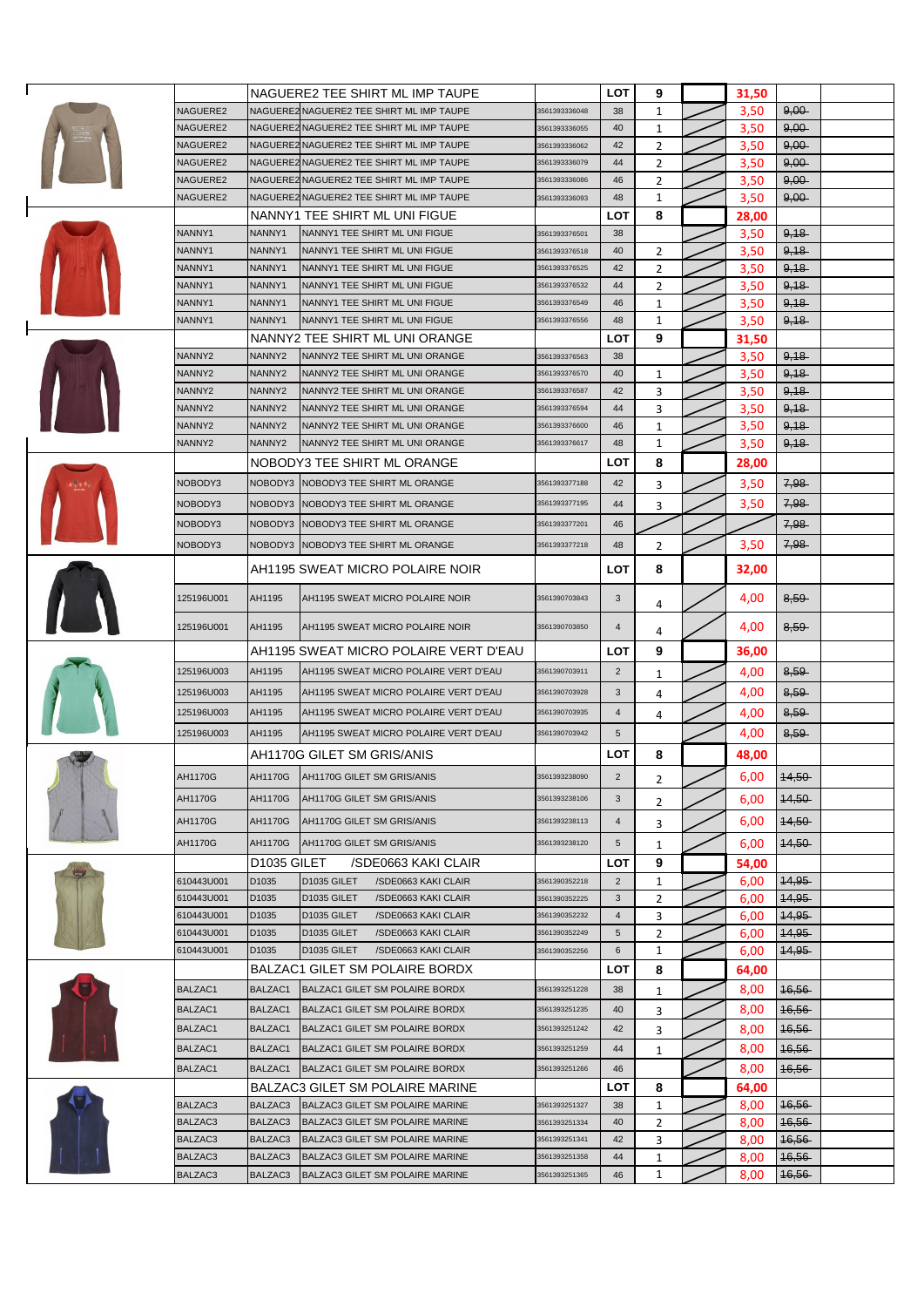|  |                    |                         | NAGUERE2 TEE SHIRT ML IMP TAUPE                                    |                                | LOT             | 9              | 31,50        |                  |  |
|--|--------------------|-------------------------|--------------------------------------------------------------------|--------------------------------|-----------------|----------------|--------------|------------------|--|
|  | NAGUERE2           |                         | NAGUERE2 NAGUERE2 TEE SHIRT ML IMP TAUPE                           | 3561393336048                  | 38              | 1              | 3,50         | $9,00 -$         |  |
|  | NAGUERE2           |                         | NAGUERE2 NAGUERE2 TEE SHIRT ML IMP TAUPE                           | 3561393336055                  | 40              | 1              | 3,50         | $9,00 -$         |  |
|  | NAGUERE2           |                         | NAGUERE2 NAGUERE2 TEE SHIRT ML IMP TAUPE                           | 3561393336062                  | 42              | 2              | 3,50         | $9,00 -$         |  |
|  | NAGUERE2           |                         | NAGUERE2NAGUERE2 TEE SHIRT ML IMP TAUPE                            | 3561393336079                  | 44              | 2              | 3,50         | 9,00             |  |
|  | NAGUERE2           |                         | NAGUERE2 NAGUERE2 TEE SHIRT ML IMP TAUPE                           | 3561393336086                  | 46              | $\overline{2}$ | 3,50         | $9,00 -$         |  |
|  | NAGUERE2           |                         | NAGUERE2 NAGUERE2 TEE SHIRT ML IMP TAUPE                           | 3561393336093                  | 48              | 1              | 3,50         | $9,00 -$         |  |
|  |                    |                         | NANNY1 TEE SHIRT ML UNI FIGUE                                      |                                | LOT             | 8              | 28,00        |                  |  |
|  | NANNY1             | NANNY1                  | NANNY1 TEE SHIRT ML UNI FIGUE                                      | 3561393376501                  | 38              |                | 3,50         | 9,18             |  |
|  | NANNY1             | NANNY1                  | NANNY1 TEE SHIRT ML UNI FIGUE                                      | 3561393376518                  | 40              | 2              | 3,50         | 9,18             |  |
|  | NANNY1             | NANNY1                  | NANNY1 TEE SHIRT ML UNI FIGUE                                      | 3561393376525                  | 42              | 2              | 3,50         | 9,18             |  |
|  | NANNY1             | NANNY1                  | NANNY1 TEE SHIRT ML UNI FIGUE                                      | 3561393376532                  | 44              | 2              | 3,50         | 9,18             |  |
|  | NANNY1             | NANNY1                  | NANNY1 TEE SHIRT ML UNI FIGUE                                      | 3561393376549                  | 46              | 1              | 3,50         | 9,18             |  |
|  | NANNY1             | NANNY1                  | NANNY1 TEE SHIRT ML UNI FIGUE                                      | 3561393376556                  | 48              | 1              | 3,50         | 9,18             |  |
|  |                    |                         | NANNY2 TEE SHIRT ML UNI ORANGE                                     |                                | LOT             | 9              | 31,50        |                  |  |
|  | NANNY2             | NANNY <sub>2</sub>      | NANNY2 TEE SHIRT ML UNI ORANGE                                     | 3561393376563                  | 38              |                | 3,50         | 9,18             |  |
|  | NANNY2             | NANNY <sub>2</sub>      | NANNY2 TEE SHIRT ML UNI ORANGE                                     | 3561393376570                  | 40              | 1              | 3,50         | 9,18             |  |
|  | NANNY2<br>NANNY2   | NANNY2<br>NANNY2        | NANNY2 TEE SHIRT ML UNI ORANGE<br>NANNY2 TEE SHIRT ML UNI ORANGE   | 3561393376587<br>3561393376594 | 42<br>44        | 3<br>3         | 3,50         | 9,18<br>9,18     |  |
|  | NANNY2             | NANNY2                  | NANNY2 TEE SHIRT ML UNI ORANGE                                     | 3561393376600                  | 46              | 1              | 3,50<br>3,50 | 9,18             |  |
|  | NANNY2             | NANNY <sub>2</sub>      | NANNY2 TEE SHIRT ML UNI ORANGE                                     | 3561393376617                  | 48              | 1              | 3,50         | 9,18             |  |
|  |                    |                         | NOBODY3 TEE SHIRT ML ORANGE                                        |                                | LOT             | 8              | 28,00        |                  |  |
|  | NOBODY3            | NOBODY3                 | NOBODY3 TEE SHIRT ML ORANGE                                        | 3561393377188                  | 42              | 3              | 3,50         | 7,98             |  |
|  | NOBODY3            | NOBODY3                 | NOBODY3 TEE SHIRT ML ORANGE                                        | 3561393377195                  | 44              |                | 3,50         | 7,98             |  |
|  |                    |                         |                                                                    |                                |                 | 3              |              |                  |  |
|  | NOBODY3            | NOBODY3                 | NOBODY3 TEE SHIRT ML ORANGE                                        | 3561393377201                  | 46              |                |              | 7,98-            |  |
|  | NOBODY3            | NOBODY3                 | NOBODY3 TEE SHIRT ML ORANGE                                        | 3561393377218                  | 48              | 2              | 3,50         | 7,98             |  |
|  |                    |                         | AH1195 SWEAT MICRO POLAIRE NOIR                                    |                                | LOT             | 8              | 32,00        |                  |  |
|  | 125196U001         | AH1195                  | AH1195 SWEAT MICRO POLAIRE NOIR                                    | 3561390703843                  | $\mathbf{3}$    | 4              | 4,00         | 8,59             |  |
|  | 125196U001         | AH1195                  | AH1195 SWEAT MICRO POLAIRE NOIR                                    | 3561390703850                  | $\overline{4}$  | 4              | 4,00         | 8,59             |  |
|  |                    |                         | AH1195 SWEAT MICRO POLAIRE VERT D'EAU                              |                                | LOT             | 9              | 36,00        |                  |  |
|  | 125196U003         | AH1195                  | AH1195 SWEAT MICRO POLAIRE VERT D'EAU                              | 3561390703911                  | $\overline{2}$  | 1              | 4,00         | 8,59             |  |
|  | 125196U003         | AH1195                  | AH1195 SWEAT MICRO POLAIRE VERT D'EAU                              | 3561390703928                  | 3               | 4              | 4,00         | 8,59             |  |
|  | 125196U003         | AH1195                  | AH1195 SWEAT MICRO POLAIRE VERT D'EAU                              | 3561390703935                  | $\overline{4}$  | 4              | 4,00         | 8,59             |  |
|  | 125196U003         | AH1195                  | AH1195 SWEAT MICRO POLAIRE VERT D'EAU                              | 3561390703942                  | $5\phantom{.0}$ |                | 4,00         | 8,59             |  |
|  |                    |                         | AH1170G GILET SM GRIS/ANIS                                         |                                | LOT             | 8              | 48,00        |                  |  |
|  | AH1170G            |                         | AH1170G AH1170G GILET SM GRIS/ANIS                                 | 3561393238090                  | $\overline{2}$  | 2              | 6,00         | 14,50            |  |
|  | AH1170G            |                         |                                                                    | 3561393238106                  |                 |                |              |                  |  |
|  |                    | AH1170G                 | AH1170G GILET SM GRIS/ANIS                                         |                                | 3               | 2              | 6,00         | 14,50            |  |
|  | AH1170G            | <b>AH1170G</b>          | AH1170G GILET SM GRIS/ANIS                                         | 3561393238113                  | 4               | 3              | 6,00         | 14,50            |  |
|  | AH1170G            | <b>AH1170G</b>          | AH1170G GILET SM GRIS/ANIS                                         | 3561393238120                  | $\sqrt{5}$      | 1              | 6,00         | $44,50 -$        |  |
|  |                    | D <sub>1035</sub> GILET | /SDE0663 KAKI CLAIR                                                |                                | LOT             | 9              | 54,00        |                  |  |
|  | 610443U001         | D1035                   | D1035 GILET<br>/SDE0663 KAKI CLAIR                                 | 3561390352218                  | $\overline{2}$  | 1              | 6,00         | 44,95            |  |
|  | 610443U001         | D1035                   | D1035 GILET<br>/SDE0663 KAKI CLAIR                                 | 3561390352225                  | 3               | 2              | 6,00         | <b>14,95</b>     |  |
|  | 610443U001         | D1035                   | D1035 GILET<br>/SDE0663 KAKI CLAIR                                 | 3561390352232                  | $\overline{4}$  | 3              | 6,00         | 44,95            |  |
|  | 610443U001         | D1035                   | D1035 GILET<br>/SDE0663 KAKI CLAIR                                 | 3561390352249                  | 5               | $\overline{2}$ | 6,00         | <b>14,95</b>     |  |
|  | 610443U001         | D1035                   | D1035 GILET<br>/SDE0663 KAKI CLAIR                                 | 3561390352256                  | 6               | 1              | 6,00         | 44,95            |  |
|  |                    |                         | BALZAC1 GILET SM POLAIRE BORDX                                     |                                | LOT             | 8              | 64,00        |                  |  |
|  | BALZAC1            | BALZAC1                 | BALZAC1 GILET SM POLAIRE BORDX                                     | 3561393251228                  | 38              | 1              | 8,00         | 16,56            |  |
|  | BALZAC1            | BALZAC1                 | BALZAC1 GILET SM POLAIRE BORDX                                     | 3561393251235                  | 40              | 3              | 8,00         | <del>16,56</del> |  |
|  | BALZAC1            | BALZAC1                 | BALZAC1 GILET SM POLAIRE BORDX                                     | 3561393251242                  | 42              | 3              | 8,00         | 16,56            |  |
|  | BALZAC1            | BALZAC1                 | BALZAC1 GILET SM POLAIRE BORDX                                     | 3561393251259                  | 44              | 1              | 8,00         | 16,56            |  |
|  | BALZAC1            | BALZAC1                 | BALZAC1 GILET SM POLAIRE BORDX                                     | 3561393251266                  | 46              |                | 8,00         | <del>16,56</del> |  |
|  |                    |                         | BALZAC3 GILET SM POLAIRE MARINE                                    |                                | LOT             | 8              | 64,00        |                  |  |
|  | BALZAC3            | BALZAC3                 | BALZAC3 GILET SM POLAIRE MARINE                                    | 3561393251327                  | 38              | 1              | 8,00         | 16,56            |  |
|  | BALZAC3<br>BALZAC3 | BALZAC3<br>BALZAC3      | BALZAC3 GILET SM POLAIRE MARINE<br>BALZAC3 GILET SM POLAIRE MARINE | 3561393251334<br>3561393251341 | 40<br>42        | $\overline{2}$ | 8,00         | 16,56            |  |
|  | BALZAC3            | BALZAC3                 | BALZAC3 GILET SM POLAIRE MARINE                                    | 3561393251358                  | 44              | 3<br>1         | 8,00<br>8,00 | 16,56<br>46,56   |  |
|  | BALZAC3            | BALZAC3                 | BALZAC3 GILET SM POLAIRE MARINE                                    | 3561393251365                  | 46              | $\mathbf 1$    | 8,00         | 16,56            |  |
|  |                    |                         |                                                                    |                                |                 |                |              |                  |  |